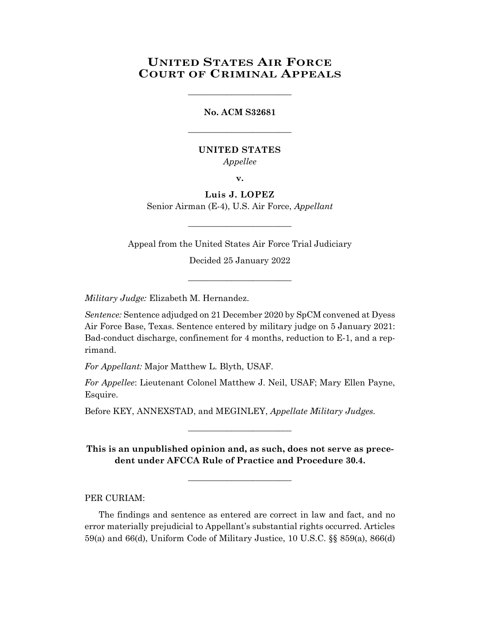## **UNITED STATES AIR FORCE COURT OF CRIMINAL APPEALS**

\_\_\_\_\_\_\_\_\_\_\_\_\_\_\_\_\_\_\_\_\_\_\_\_

## **No. ACM S32681**

\_\_\_\_\_\_\_\_\_\_\_\_\_\_\_\_\_\_\_\_\_\_\_\_

## **UNITED STATES**

*Appellee*

**v.**

**Luis J. LOPEZ** Senior Airman (E-4), U.S. Air Force, *Appellant*

Appeal from the United States Air Force Trial Judiciary

\_\_\_\_\_\_\_\_\_\_\_\_\_\_\_\_\_\_\_\_\_\_\_\_

Decided 25 January 2022

\_\_\_\_\_\_\_\_\_\_\_\_\_\_\_\_\_\_\_\_\_\_\_\_

*Military Judge:* Elizabeth M. Hernandez.

*Sentence:* Sentence adjudged on 21 December 2020 by SpCM convened at Dyess Air Force Base, Texas. Sentence entered by military judge on 5 January 2021: Bad-conduct discharge, confinement for 4 months, reduction to E-1, and a reprimand.

*For Appellant:* Major Matthew L. Blyth, USAF.

*For Appellee*: Lieutenant Colonel Matthew J. Neil, USAF; Mary Ellen Payne, Esquire.

Before KEY, ANNEXSTAD, and MEGINLEY, *Appellate Military Judges.*

**This is an unpublished opinion and, as such, does not serve as precedent under AFCCA Rule of Practice and Procedure 30.4.**

**\_\_\_\_\_\_\_\_\_\_\_\_\_\_\_\_\_\_\_\_\_\_\_\_**

\_\_\_\_\_\_\_\_\_\_\_\_\_\_\_\_\_\_\_\_\_\_\_\_

PER CURIAM:

The findings and sentence as entered are correct in law and fact, and no error materially prejudicial to Appellant's substantial rights occurred. Articles 59(a) and 66(d), Uniform Code of Military Justice, 10 U.S.C. §§ 859(a), 866(d)